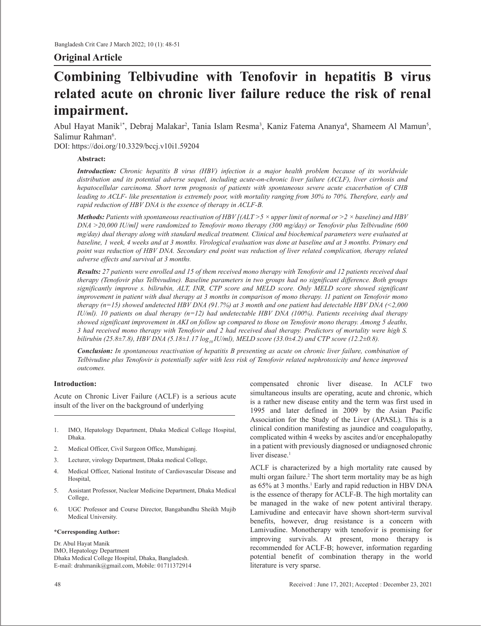# **Original Article**

# **Combining Telbivudine with Tenofovir in hepatitis B virus related acute on chronic liver failure reduce the risk of renal impairment.**

Abul Hayat Manik<sup>1\*</sup>, Debraj Malakar<sup>2</sup>, Tania Islam Resma<sup>3</sup>, Kaniz Fatema Ananya<sup>4</sup>, Shameem Al Mamun<sup>5</sup>, Salimur Rahman<sup>6</sup>.

DOI: https://doi.org/10.3329/bccj.v10i1.59204

# **Abstract:**

*Introduction: Chronic hepatitis B virus (HBV) infection is a major health problem because of its worldwide distribution and its potential adverse sequel, including acute-on-chronic liver failure (ACLF), liver cirrhosis and hepatocellular carcinoma. Short term prognosis of patients with spontaneous severe acute exacerbation of CHB leading to ACLF- like presentation is extremely poor, with mortality ranging from 30% to 70%. Therefore, early and rapid reduction of HBV DNA is the essence of therapy in ACLF-B.*

*Methods: Patients with spontaneous reactivation of HBV [(ALT >5 × upper limit of normal or >2 × baseline) and HBV DNA >20,000 IU/ml] were randomized to Tenofovir mono therapy (300 mg/day) or Tenofovir plus Telbivudine (600 mg/day) dual therapy along with standard medical treatment. Clinical and biochemical parameters were evaluated at baseline, 1 week, 4 weeks and at 3 months. Virological evaluation was done at baseline and at 3 months. Primary end point was reduction of HBV DNA. Secondary end point was reduction of liver related complication, therapy related adverse effects and survival at 3 months.*

*Results: 27 patients were enrolled and 15 of them received mono therapy with Tenofovir and 12 patients received dual therapy (Tenofovir plus Telbivudine). Baseline parameters in two groups had no significant difference. Both groups significantly improve s. bilirubin, ALT, INR, CTP score and MELD score. Only MELD score showed significant improvement in patient with dual therapy at 3 months in comparison of mono therapy. 11 patient on Tenofovir mono therapy (n=15) showed undetected HBV DNA (91.7%) at 3 month and one patient had detectable HBV DNA (<2,000 IU/ml). 10 patients on dual therapy (n=12) had undetectable HBV DNA (100%). Patients receiving dual therapy showed significant improvement in AKI on follow up compared to those on Tenofovir mono therapy. Among 5 deaths, 3 had received mono therapy with Tenofovir and 2 had received dual therapy. Predictors of mortality were high S. bilirubin (25.8±7.8), HBV DNA (5.18±1.17*  $log_{10}$ *IU/ml), MELD score (33.0±4.2) and CTP score (12.2±0.8).* 

*Conclusion: In spontaneous reactivation of hepatitis B presenting as acute on chronic liver failure, combination of Telbivudine plus Tenofovir is potentially safer with less risk of Tenofovir related nephrotoxicity and hence improved outcomes.*

# **Introduction:**

Acute on Chronic Liver Failure (ACLF) is a serious acute insult of the liver on the background of underlying

- 1. IMO, Hepatology Department, Dhaka Medical College Hospital, Dhaka.
- 2. Medical Officer, Civil Surgeon Office, Munshiganj.
- 3. Lecturer, virology Department, Dhaka medical College,
- 4. Medical Officer, National Institute of Cardiovascular Disease and Hospital,
- 5. Assistant Professor, Nuclear Medicine Department, Dhaka Medical College,
- 6. UGC Professor and Course Director, Bangabandhu Sheikh Mujib Medical University.

#### **\*Corresponding Author:**

Dr. Abul Hayat Manik IMO, Hepatology Department Dhaka Medical College Hospital, Dhaka, Bangladesh. E-mail: drahmanik@gmail.com, Mobile: 01711372914 compensated chronic liver disease. In ACLF two simultaneous insults are operating, acute and chronic, which is a rather new disease entity and the term was first used in 1995 and later defined in 2009 by the Asian Pacific Association for the Study of the Liver (APASL). This is a clinical condition manifesting as jaundice and coagulopathy, complicated within 4 weeks by ascites and/or encephalopathy in a patient with previously diagnosed or undiagnosed chronic liver disease.<sup>1</sup>

ACLF is characterized by a high mortality rate caused by multi organ failure.<sup>2</sup> The short term mortality may be as high as 65% at 3 months.<sup>1</sup> Early and rapid reduction in HBV DNA is the essence of therapy for ACLF-B. The high mortality can be managed in the wake of new potent antiviral therapy. Lamivudine and entecavir have shown short-term survival benefits, however, drug resistance is a concern with Lamivudine. Monotherapy with tenofovir is promising for improving survivals. At present, mono therapy is recommended for ACLF-B; however, information regarding potential benefit of combination therapy in the world literature is very sparse.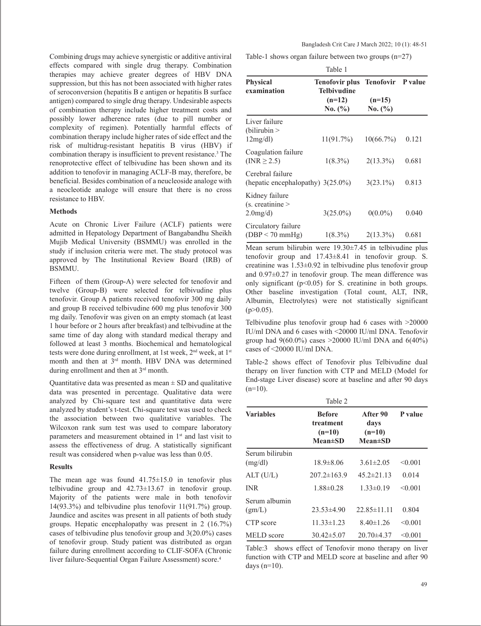Combining drugs may achieve synergistic or additive antiviral effects compared with single drug therapy. Combination therapies may achieve greater degrees of HBV DNA suppression, but this has not been associated with higher rates of seroconversion (hepatitis B e antigen or hepatitis B surface antigen) compared to single drug therapy. Undesirable aspects of combination therapy include higher treatment costs and possibly lower adherence rates (due to pill number or complexity of regimen). Potentially harmful effects of combination therapy include higher rates of side effect and the risk of multidrug-resistant hepatitis B virus (HBV) if combination therapy is insufficient to prevent resistance.<sup>3</sup> The renoprotective effect of telbivudine has been shown and its addition to tenofovir in managing ACLF‑B may, therefore, be beneficial. Besides combination of a neucleoside analoge with a neocleotide analoge will ensure that there is no cross resistance to HBV.

#### **Methods**

Acute on Chronic Liver Failure (ACLF) patients were admitted in Hepatology Department of Bangabandhu Sheikh Mujib Medical University (BSMMU) was enrolled in the study if inclusion criteria were met. The study protocol was approved by The Institutional Review Board (IRB) of BSMMU.

Fifteen of them (Group-A) were selected for tenofovir and twelve (Group-B) were selected for telbivudine plus tenofovir. Group A patients received tenofovir 300 mg daily and group B received telbivudine 600 mg plus tenofovir 300 mg daily. Tenofovir was given on an empty stomach (at least 1 hour before or 2 hours after breakfast) and telbivudine at the same time of day along with standard medical therapy and followed at least 3 months. Biochemical and hematological tests were done during enrollment, at 1st week,  $2<sup>nd</sup>$  week, at 1<sup>st</sup> month and then at 3<sup>rd</sup> month. HBV DNA was determined during enrollment and then at 3rd month.

Quantitative data was presented as mean  $\pm$  SD and qualitative data was presented in percentage. Qualitative data were analyzed by Chi-square test and quantitative data were analyzed by student's t-test. Chi-square test was used to check the association between two qualitative variables. The Wilcoxon rank sum test was used to compare laboratory parameters and measurement obtained in 1<sup>st</sup> and last visit to assess the effectiveness of drug. A statistically significant result was considered when p-value was less than 0.05.

#### **Results**

The mean age was found  $41.75 \pm 15.0$  in tenofovir plus telbivudine group and 42.73±13.67 in tenofovir group. Majority of the patients were male in both tenofovir 14(93.3%) and telbivudine plus tenofovir 11(91.7%) group. Jaundice and ascites was present in all patients of both study groups. Hepatic encephalopathy was present in 2 (16.7%) cases of telbivudine plus tenofovir group and 3(20.0%) cases of tenofovir group. Study patient was distributed as organ failure during enrollment according to CLIF-SOFA (Chronic liver failure-Sequential Organ Failure Assessment) score.4

Table-1 shows organ failure between two groups (n=27)

| Table 1                                               |                                                                                   |                         |       |
|-------------------------------------------------------|-----------------------------------------------------------------------------------|-------------------------|-------|
| <b>Physical</b><br>examination                        | Tenofovir plus Tenofovir P value<br><b>Telbivudine</b><br>$(n=12)$<br>No. $(\% )$ | $(n=15)$<br>No. $(\% )$ |       |
| Liver failure<br>(bilirubin ><br>12mg/dl              | 11(91.7%)                                                                         | 10(66.7%)               | 0.121 |
| Coagulation failure<br>$(INR \geq 2.5)$               | $1(8.3\%)$                                                                        | $2(13.3\%)$             | 0.681 |
| Cerebral failure<br>(hepatic encephalopathy) 3(25.0%) |                                                                                   | $3(23.1\%)$             | 0.813 |
| Kidney failure<br>$(s.$ creatinine $>$<br>$2.0$ mg/d) | $3(25.0\%)$                                                                       | $0(0.0\%)$              | 0.040 |
| Circulatory failure<br>$(DBP < 70$ mmHg)              | $1(8.3\%)$                                                                        | $2(13.3\%)$             | 0.681 |

Mean serum bilirubin were 19.30±7.45 in telbivudine plus tenofovir group and 17.43±8.41 in tenofovir group. S. creatinine was 1.53±0.92 in telbivudine plus tenofovir group and 0.97±0.27 in tenofovir group. The mean difference was only significant  $(p<0.05)$  for S. creatinine in both groups. Other baseline investigation (Total count, ALT, INR, Albumin, Electrolytes) were not statistically significant  $(p>0.05)$ .

Telbivudine plus tenofovir group had 6 cases with >20000 IU/ml DNA and 6 cases with <20000 IU/ml DNA. Tenofovir group had  $9(60.0\%)$  cases >20000 IU/ml DNA and  $6(40\%)$ cases of <20000 IU/ml DNA.

Table-2 shows effect of Tenofovir plus Telbivudine dual therapy on liver function with CTP and MELD (Model for End-stage Liver disease) score at baseline and after 90 days  $(n=10)$ .

| Table 2                    |                                                         |                                               |         |
|----------------------------|---------------------------------------------------------|-----------------------------------------------|---------|
| <b>Variables</b>           | <b>Before</b><br>treatment<br>$(n=10)$<br>$Mean \pm SD$ | After 90<br>days<br>$(n=10)$<br>$Mean \pm SD$ | P value |
| Serum bilirubin<br>(mg/dl) | $18.9 \pm 8.06$                                         | $3.61 \pm 2.05$                               | < 0.001 |
| ALT (U/L)                  | $207.2 \pm 163.9$                                       | $45.2 \pm 21.13$                              | 0.014   |
| <b>INR</b>                 | $1.88 \pm 0.28$                                         | $1.33 \pm 0.19$                               | < 0.001 |
| Serum albumin<br>(gm/L)    | $23.53\pm4.90$                                          | $22.85 \pm 11.11$                             | 0.804   |
| CTP score                  | $11.33 \pm 1.23$                                        | $8.40 \pm 1.26$                               | < 0.001 |
| MELD score                 | $30.42 \pm 5.07$                                        | $20.70\pm4.37$                                | < 0.001 |

Table:3 shows effect of Tenofovir mono therapy on liver function with CTP and MELD score at baseline and after 90 days  $(n=10)$ .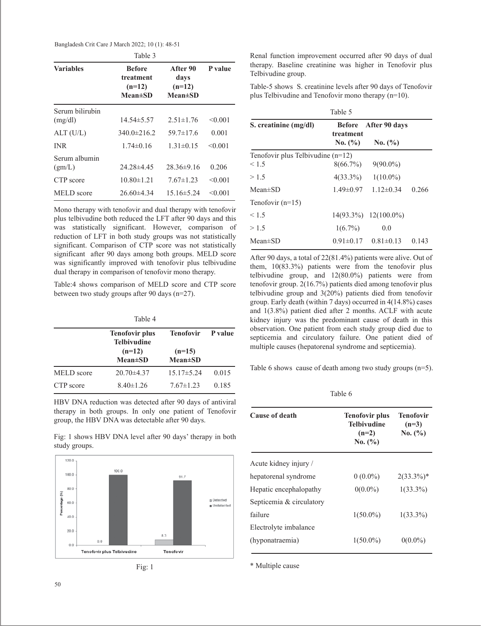Bangladesh Crit Care J March 2022; 10 (1): 48-51

|                            | Table 3                                                   |                                                 |         |
|----------------------------|-----------------------------------------------------------|-------------------------------------------------|---------|
| <b>Variables</b>           | <b>Before</b><br>treatment<br>$(n=12)$<br><b>Mean</b> ±SD | After 90<br>days<br>$(n=12)$<br><b>Mean</b> ±SD | P value |
| Serum bilirubin<br>(mg/dl) | $14.54 \pm 5.57$                                          | $2.51 \pm 1.76$                                 | < 0.001 |
| ALT(U/L)                   | $340.0 \pm 216.2$                                         | $59.7 \pm 17.6$                                 | 0.001   |
| <b>INR</b>                 | $1.74 \pm 0.16$                                           | $1.31 \pm 0.15$                                 | < 0.001 |
| Serum albumin<br>(gm/L)    | 24.28±4.45                                                | $28.36\pm9.16$                                  | 0.206   |
| CTP score                  | $10.80 \pm 1.21$                                          | $7.67 \pm 1.23$                                 | < 0.001 |
| MELD score                 | $26.60\pm4.34$                                            | $15.16 \pm 5.24$                                | < 0.001 |

Mono therapy with tenofovir and dual therapy with tenofovir plus telbivudine both reduced the LFT after 90 days and this was statistically significant. However, comparison of reduction of LFT in both study groups was not statistically significant. Comparison of CTP score was not statistically significant after 90 days among both groups. MELD score was significantly improved with tenofovir plus telbivudine dual therapy in comparison of tenofovir mono therapy.

Table:4 shows comparison of MELD score and CTP score between two study groups after 90 days (n=27).

|            | Table 4                                     |                           |                |
|------------|---------------------------------------------|---------------------------|----------------|
|            | <b>Tenofovir plus</b><br><b>Telbivudine</b> | Tenofovir                 | <b>P</b> value |
|            | $(n=12)$<br>$Mean \pm SD$                   | $(n=15)$<br>$Mean \pm SD$ |                |
| MELD score | $20.70\pm4.37$                              | $15.17 \pm 5.24$          | 0.015          |
| CTP score  | $8.40 \pm 1.26$                             | $7.67 \pm 1.23$           | 0.185          |

HBV DNA reduction was detected after 90 days of antiviral therapy in both groups. In only one patient of Tenofovir group, the HBV DNA was detectable after 90 days.

Fig: 1 shows HBV DNA level after 90 days' therapy in both study groups.





Renal function improvement occurred after 90 days of dual therapy. Baseline creatinine was higher in Tenofovir plus Telbivudine group.

Table-5 shows S. creatinine levels after 90 days of Tenofovir plus Telbivudine and Tenofovir mono therapy (n=10).

| Table 5                             |                            |                                 |       |
|-------------------------------------|----------------------------|---------------------------------|-------|
| S. creatinine (mg/dl)               | <b>Before</b><br>treatment | After 90 days                   |       |
|                                     | No. (%)                    | No. (%)                         |       |
| Tenofovir plus Telbivudine $(n=12)$ |                            |                                 |       |
| < 1.5                               | $8(66.7\%)$                | $9(90.0\%)$                     |       |
| >1.5                                | $4(33.3\%)$                | $1(10.0\%)$                     |       |
| $Mean \pm SD$                       | $1.49 \pm 0.97$            | $1.12\pm0.34$                   | 0.266 |
| Tenofovir $(n=15)$                  |                            |                                 |       |
| < 1.5                               |                            | $14(93.3\%)$ $12(100.0\%)$      |       |
| >1.5                                | $1(6.7\%)$                 | 0.0                             |       |
| $Mean \pm SD$                       |                            | $0.91 \pm 0.17$ $0.81 \pm 0.13$ | 0.143 |

After 90 days, a total of 22(81.4%) patients were alive. Out of them, 10(83.3%) patients were from the tenofovir plus telbivudine group, and 12(80.0%) patients were from tenofovir group. 2(16.7%) patients died among tenofovir plus telbivudine group and 3(20%) patients died from tenofovir group. Early death (within 7 days) occurred in 4(14.8%) cases and 1(3.8%) patient died after 2 months. ACLF with acute kidney injury was the predominant cause of death in this observation. One patient from each study group died due to septicemia and circulatory failure. One patient died of multiple causes (hepatorenal syndrome and septicemia).

Table 6 shows cause of death among two study groups  $(n=5)$ .

Table 6

| <b>Cause of death</b>    | <b>Tenofovir plus</b><br>Telbivudine<br>$(n=2)$<br>No. (%) | <b>Tenofovir</b><br>$(n=3)$<br>No. (%) |
|--------------------------|------------------------------------------------------------|----------------------------------------|
| Acute kidney injury /    |                                                            |                                        |
| hepatorenal syndrome     | $0(0.0\%)$                                                 | $2(33.3\%)*$                           |
| Hepatic encephalopathy   | $0(0.0\%)$                                                 | $1(33.3\%)$                            |
| Septicemia & circulatory |                                                            |                                        |
| failure                  | $1(50.0\%)$                                                | $1(33.3\%)$                            |
| Electrolyte imbalance    |                                                            |                                        |
| (hyponatraemia)          | $1(50.0\%)$                                                | $0(0.0\%)$                             |

\* Multiple cause